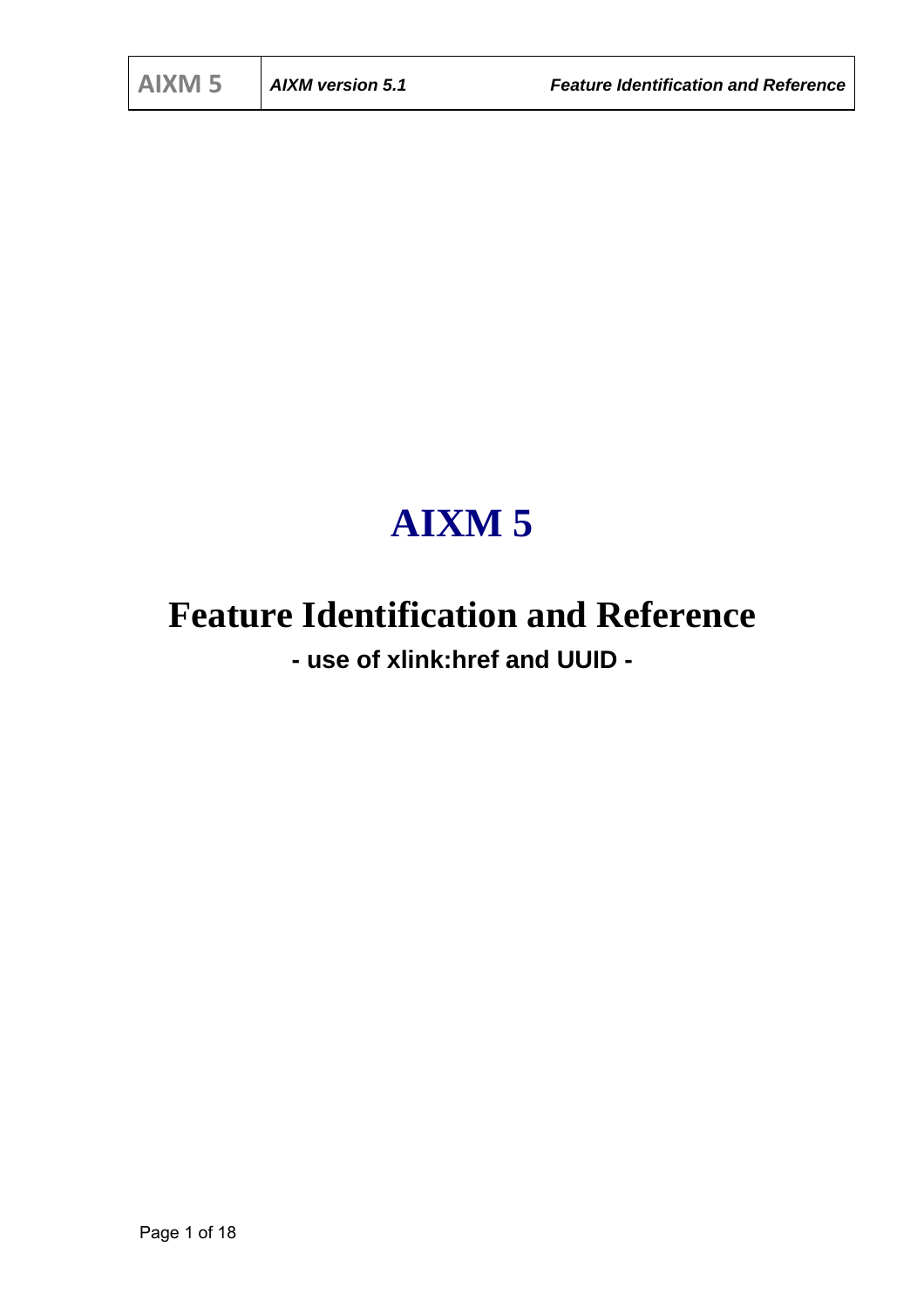## **AIXM 5**

# **Feature Identification and Reference**

**- use of xlink:href and UUID -**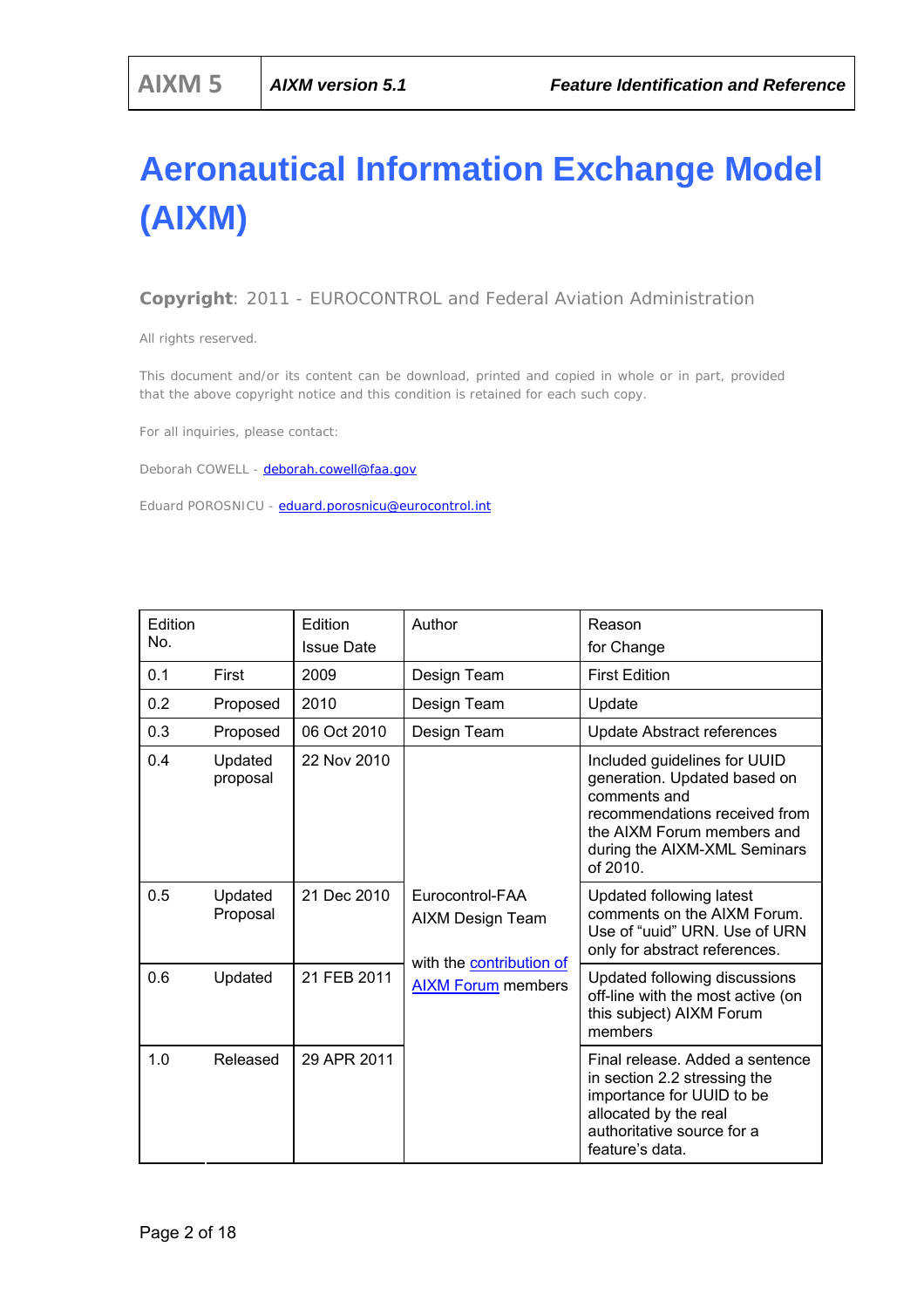## **Aeronautical Information Exchange Model (AIXM)**

*Copyright: 2011 - EUROCONTROL and Federal Aviation Administration* 

*All rights reserved.* 

*This document and/or its content can be download, printed and copied in whole or in part, provided that the above copyright notice and this condition is retained for each such copy.* 

*For all inquiries, please contact:* 

*Deborah COWELL - deborah.cowell@faa.gov*

*Eduard POROSNICU - eduard.porosnicu@eurocontrol.int*

| Edition<br>No. |                     | Edition<br><b>Issue Date</b> | Author                                                | Reason<br>for Change                                                                                                                                                                    |
|----------------|---------------------|------------------------------|-------------------------------------------------------|-----------------------------------------------------------------------------------------------------------------------------------------------------------------------------------------|
| 0.1            | First               | 2009                         | Design Team                                           | <b>First Edition</b>                                                                                                                                                                    |
| 0.2            | Proposed            | 2010                         | Design Team                                           | Update                                                                                                                                                                                  |
| 0.3            | Proposed            | 06 Oct 2010                  | Design Team                                           | Update Abstract references                                                                                                                                                              |
| 0.4            | Updated<br>proposal | 22 Nov 2010                  |                                                       | Included guidelines for UUID<br>generation. Updated based on<br>comments and<br>recommendations received from<br>the AIXM Forum members and<br>during the AIXM-XML Seminars<br>of 2010. |
| 0.5            | Updated<br>Proposal | 21 Dec 2010                  | Eurocontrol-FAA<br>AIXM Design Team                   | Updated following latest<br>comments on the AIXM Forum.<br>Use of "uuid" URN. Use of URN<br>only for abstract references.                                                               |
| 0.6            | Updated             | 21 FEB 2011                  | with the contribution of<br><b>AIXM Forum members</b> | Updated following discussions<br>off-line with the most active (on<br>this subject) AIXM Forum<br>members                                                                               |
| 1.0            | Released            | 29 APR 2011                  |                                                       | Final release. Added a sentence<br>in section 2.2 stressing the<br>importance for UUID to be<br>allocated by the real<br>authoritative source for a<br>feature's data.                  |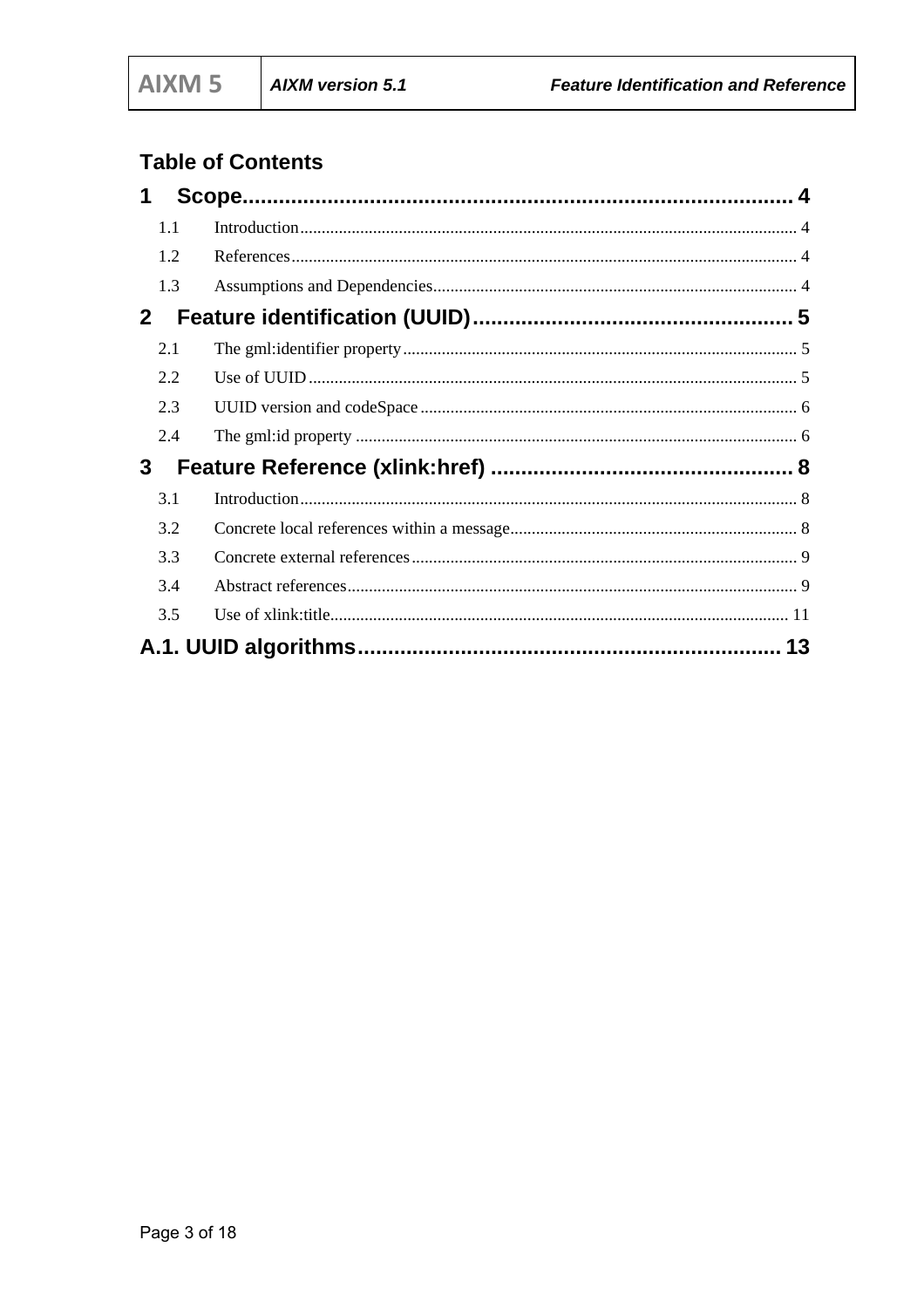## **Table of Contents**

| 1            |     |  |
|--------------|-----|--|
|              | 1.1 |  |
|              | 1.2 |  |
|              | 1.3 |  |
| $\mathbf{2}$ |     |  |
|              | 2.1 |  |
|              | 2.2 |  |
|              | 2.3 |  |
|              | 2.4 |  |
| 3            |     |  |
|              | 3.1 |  |
|              | 3.2 |  |
|              | 3.3 |  |
|              | 3.4 |  |
|              | 3.5 |  |
|              |     |  |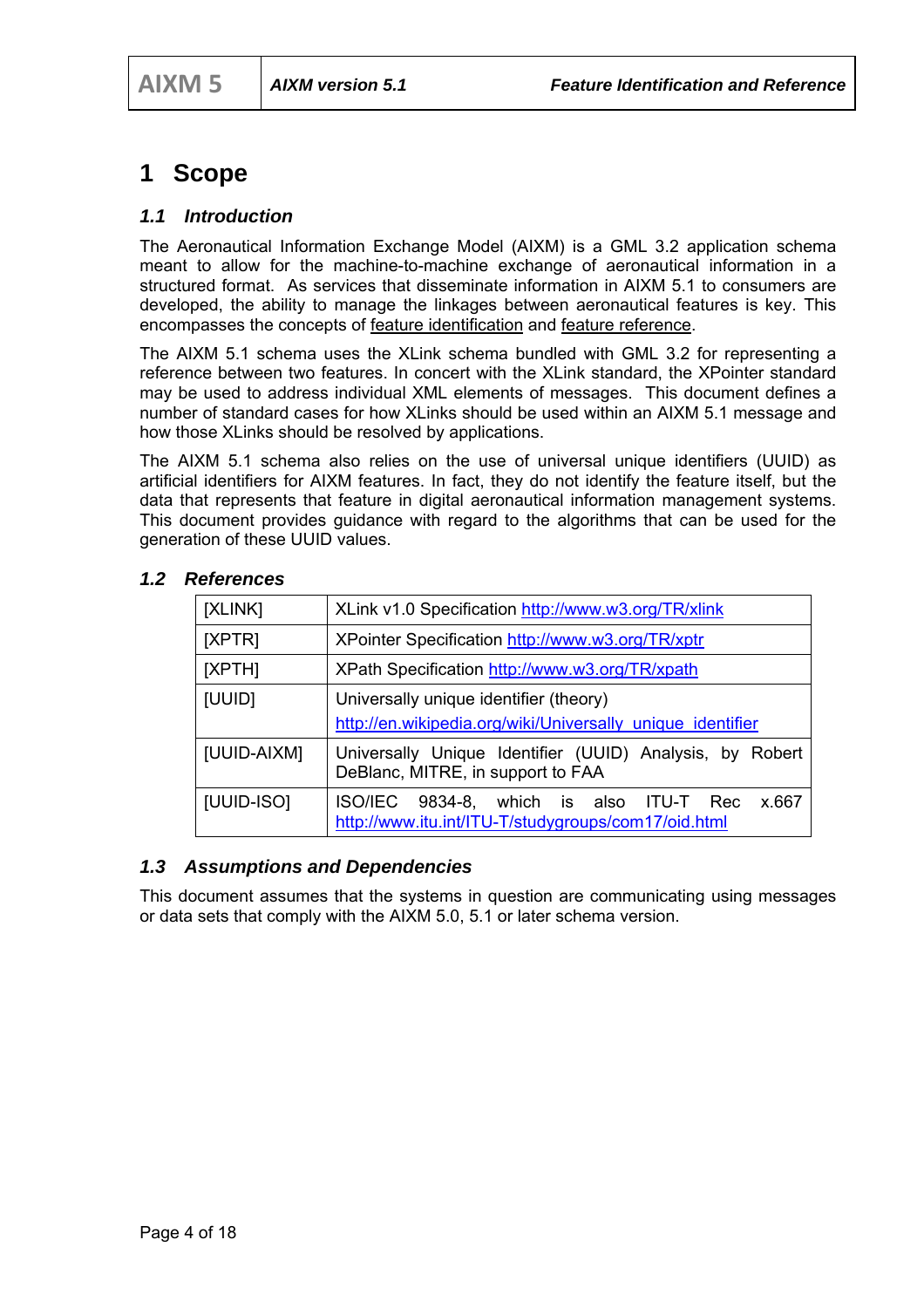## **1 Scope**

#### *1.1 Introduction*

The Aeronautical Information Exchange Model (AIXM) is a GML 3.2 application schema meant to allow for the machine-to-machine exchange of aeronautical information in a structured format. As services that disseminate information in AIXM 5.1 to consumers are developed, the ability to manage the linkages between aeronautical features is key. This encompasses the concepts of feature identification and feature reference.

The AIXM 5.1 schema uses the XLink schema bundled with GML 3.2 for representing a reference between two features. In concert with the XLink standard, the XPointer standard may be used to address individual XML elements of messages. This document defines a number of standard cases for how XLinks should be used within an AIXM 5.1 message and how those XLinks should be resolved by applications.

The AIXM 5.1 schema also relies on the use of universal unique identifiers (UUID) as artificial identifiers for AIXM features. In fact, they do not identify the feature itself, but the data that represents that feature in digital aeronautical information management systems. This document provides guidance with regard to the algorithms that can be used for the generation of these UUID values.

| [XLINK]     | XLink v1.0 Specification http://www.w3.org/TR/xlink                                                        |  |  |  |  |
|-------------|------------------------------------------------------------------------------------------------------------|--|--|--|--|
|             |                                                                                                            |  |  |  |  |
| [XPTR]      | XPointer Specification http://www.w3.org/TR/xptr                                                           |  |  |  |  |
| [XPTH]      | XPath Specification http://www.w3.org/TR/xpath                                                             |  |  |  |  |
| [UUID]      | Universally unique identifier (theory)                                                                     |  |  |  |  |
|             | http://en.wikipedia.org/wiki/Universally unique identifier                                                 |  |  |  |  |
| [UUID-AIXM] | Universally Unique Identifier (UUID) Analysis, by Robert<br>DeBlanc, MITRE, in support to FAA              |  |  |  |  |
| [UUID-ISO]  | 9834-8, which is also ITU-T Rec<br>ISO/IEC<br>x.667<br>http://www.itu.int/ITU-T/studygroups/com17/oid.html |  |  |  |  |

#### *1.2 References*

#### *1.3 Assumptions and Dependencies*

This document assumes that the systems in question are communicating using messages or data sets that comply with the AIXM 5.0, 5.1 or later schema version.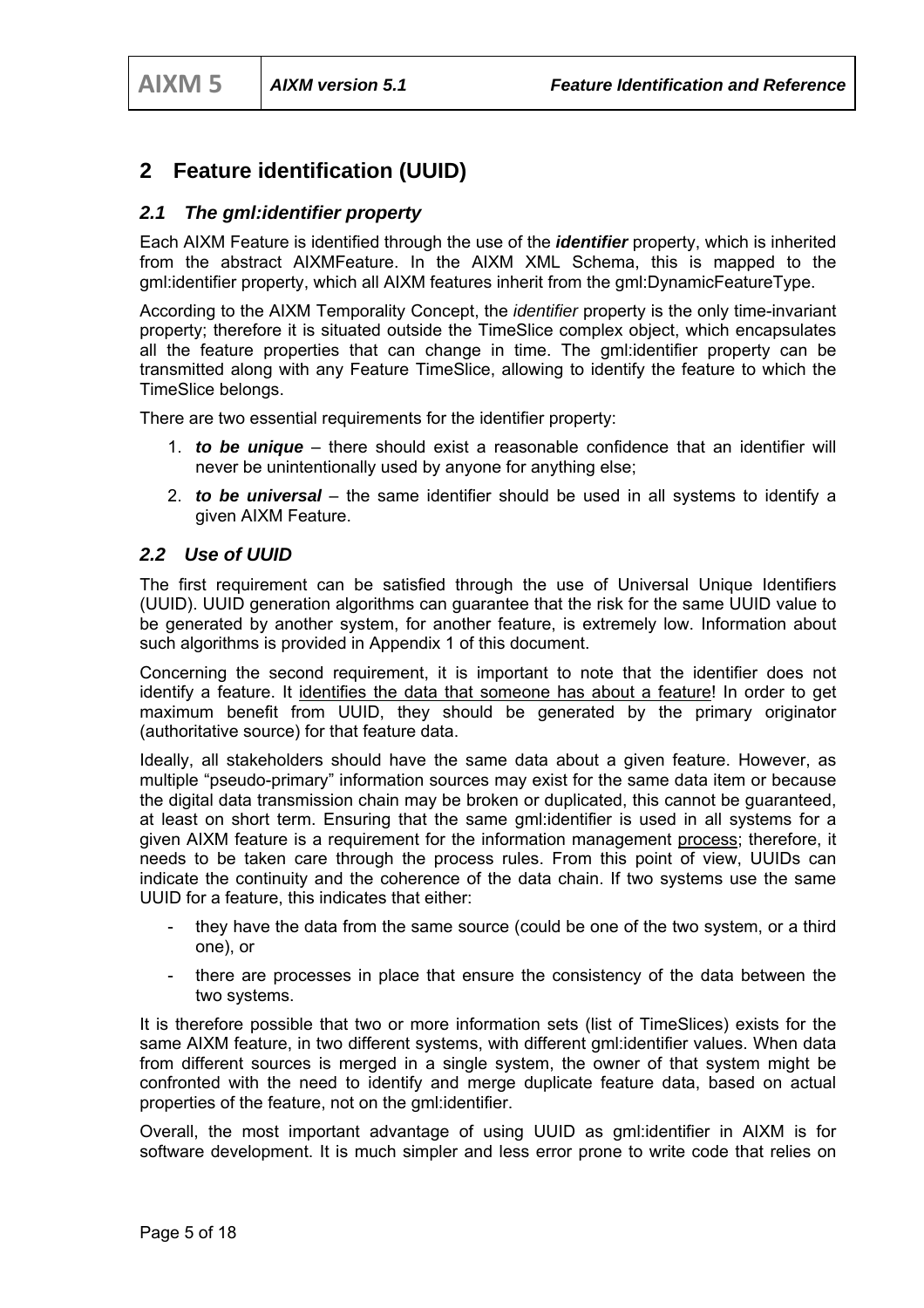## **2 Feature identification (UUID)**

#### *2.1 The gml:identifier property*

Each AIXM Feature is identified through the use of the *identifier* property, which is inherited from the abstract AIXMFeature. In the AIXM XML Schema, this is mapped to the gml:identifier property, which all AIXM features inherit from the gml:DynamicFeatureType.

According to the AIXM Temporality Concept, the *identifier* property is the only time-invariant property; therefore it is situated outside the TimeSlice complex object, which encapsulates all the feature properties that can change in time. The gml:identifier property can be transmitted along with any Feature TimeSlice, allowing to identify the feature to which the TimeSlice belongs.

There are two essential requirements for the identifier property:

- 1. *to be unique*  there should exist a reasonable confidence that an identifier will never be unintentionally used by anyone for anything else;
- 2. *to be universal* the same identifier should be used in all systems to identify a given AIXM Feature.

#### *2.2 Use of UUID*

The first requirement can be satisfied through the use of Universal Unique Identifiers (UUID). UUID generation algorithms can guarantee that the risk for the same UUID value to be generated by another system, for another feature, is extremely low. Information about such algorithms is provided in Appendix 1 of this document.

Concerning the second requirement, it is important to note that the identifier does not identify a feature. It identifies the data that someone has about a feature! In order to get maximum benefit from UUID, they should be generated by the primary originator (authoritative source) for that feature data.

Ideally, all stakeholders should have the same data about a given feature. However, as multiple "pseudo-primary" information sources may exist for the same data item or because the digital data transmission chain may be broken or duplicated, this cannot be guaranteed, at least on short term. Ensuring that the same gml:identifier is used in all systems for a given AIXM feature is a requirement for the information management process; therefore, it needs to be taken care through the process rules. From this point of view, UUIDs can indicate the continuity and the coherence of the data chain. If two systems use the same UUID for a feature, this indicates that either:

- they have the data from the same source (could be one of the two system, or a third one), or
- there are processes in place that ensure the consistency of the data between the two systems.

It is therefore possible that two or more information sets (list of TimeSlices) exists for the same AIXM feature, in two different systems, with different gml:identifier values. When data from different sources is merged in a single system, the owner of that system might be confronted with the need to identify and merge duplicate feature data, based on actual properties of the feature, not on the gml:identifier.

Overall, the most important advantage of using UUID as gml:identifier in AIXM is for software development. It is much simpler and less error prone to write code that relies on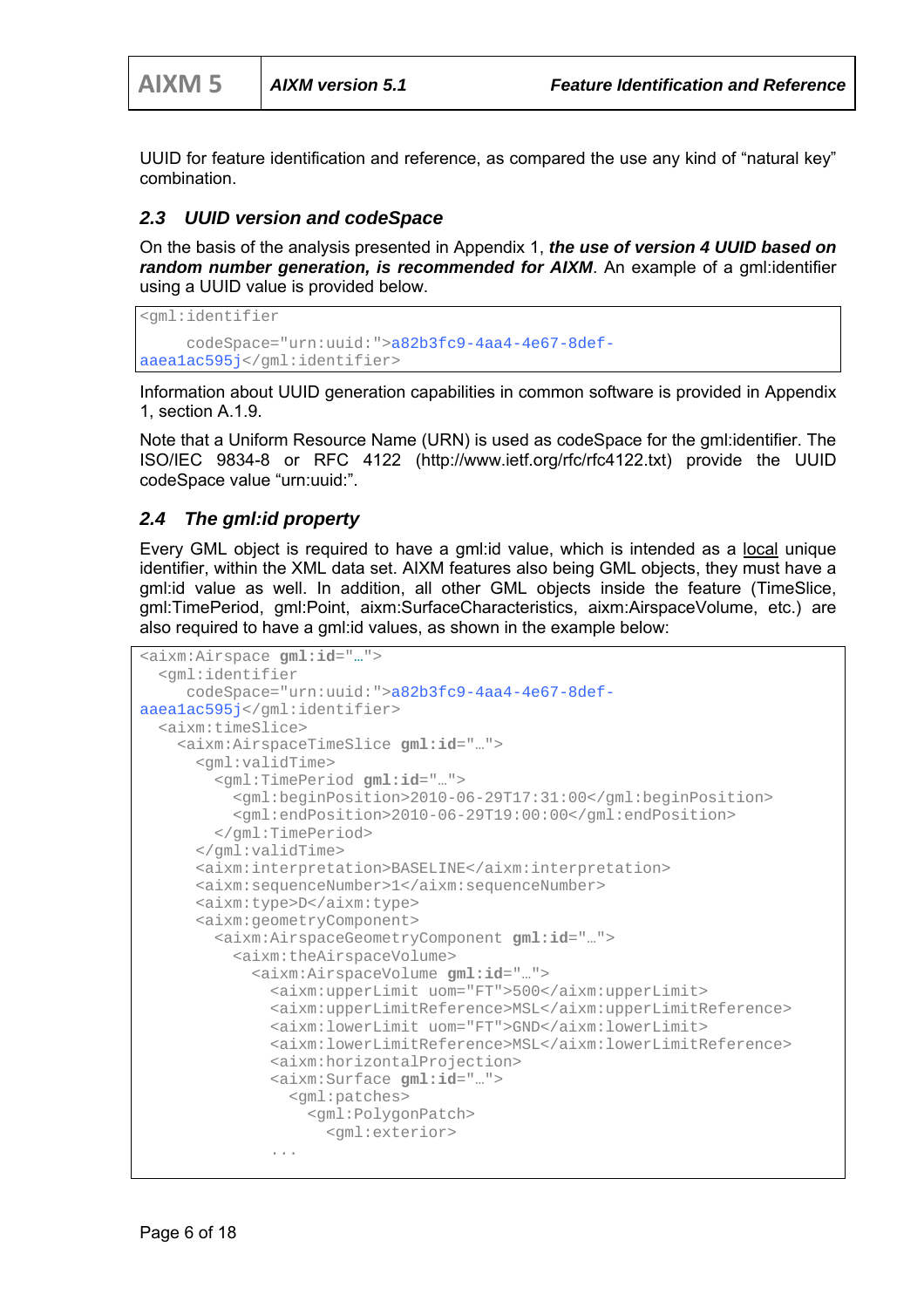UUID for feature identification and reference, as compared the use any kind of "natural key" combination.

#### *2.3 UUID version and codeSpace*

On the basis of the analysis presented in Appendix 1, *the use of version 4 UUID based on random number generation, is recommended for AIXM*. An example of a gml:identifier using a UUID value is provided below.

```
<gml:identifier 
      codeSpace="urn:uuid:">a82b3fc9-4aa4-4e67-8def-
aaea1ac595j</gml:identifier>
```
Information about UUID generation capabilities in common software is provided in Appendix 1, section A.1.9.

Note that a Uniform Resource Name (URN) is used as codeSpace for the gml:identifier. The ISO/IEC 9834-8 or RFC 4122 (http://www.ietf.org/rfc/rfc4122.txt) provide the UUID codeSpace value "urn:uuid:".

#### *2.4 The gml:id property*

Every GML object is required to have a gml:id value, which is intended as a local unique identifier, within the XML data set. AIXM features also being GML objects, they must have a gml:id value as well. In addition, all other GML objects inside the feature (TimeSlice, gml:TimePeriod, gml:Point, aixm:SurfaceCharacteristics, aixm:AirspaceVolume, etc.) are also required to have a gml:id values, as shown in the example below:

```
<aixm:Airspace gml:id="…"> 
   <gml:identifier 
      codeSpace="urn:uuid:">a82b3fc9-4aa4-4e67-8def-
aaea1ac595j</gml:identifier> 
   <aixm:timeSlice> 
     <aixm:AirspaceTimeSlice gml:id="…"> 
       <gml:validTime> 
         <gml:TimePeriod gml:id="…"> 
           <gml:beginPosition>2010-06-29T17:31:00</gml:beginPosition> 
           <gml:endPosition>2010-06-29T19:00:00</gml:endPosition> 
         </gml:TimePeriod> 
       </gml:validTime> 
       <aixm:interpretation>BASELINE</aixm:interpretation> 
       <aixm:sequenceNumber>1</aixm:sequenceNumber> 
       <aixm:type>D</aixm:type> 
       <aixm:geometryComponent> 
         <aixm:AirspaceGeometryComponent gml:id="…"> 
           <aixm:theAirspaceVolume> 
              <aixm:AirspaceVolume gml:id="…"> 
                <aixm:upperLimit uom="FT">500</aixm:upperLimit> 
                <aixm:upperLimitReference>MSL</aixm:upperLimitReference> 
                <aixm:lowerLimit uom="FT">GND</aixm:lowerLimit> 
                <aixm:lowerLimitReference>MSL</aixm:lowerLimitReference> 
                <aixm:horizontalProjection> 
                <aixm:Surface gml:id="…"> 
                  <gml:patches> 
                    <gml:PolygonPatch> 
                      <gml:exterior> 
                ...
```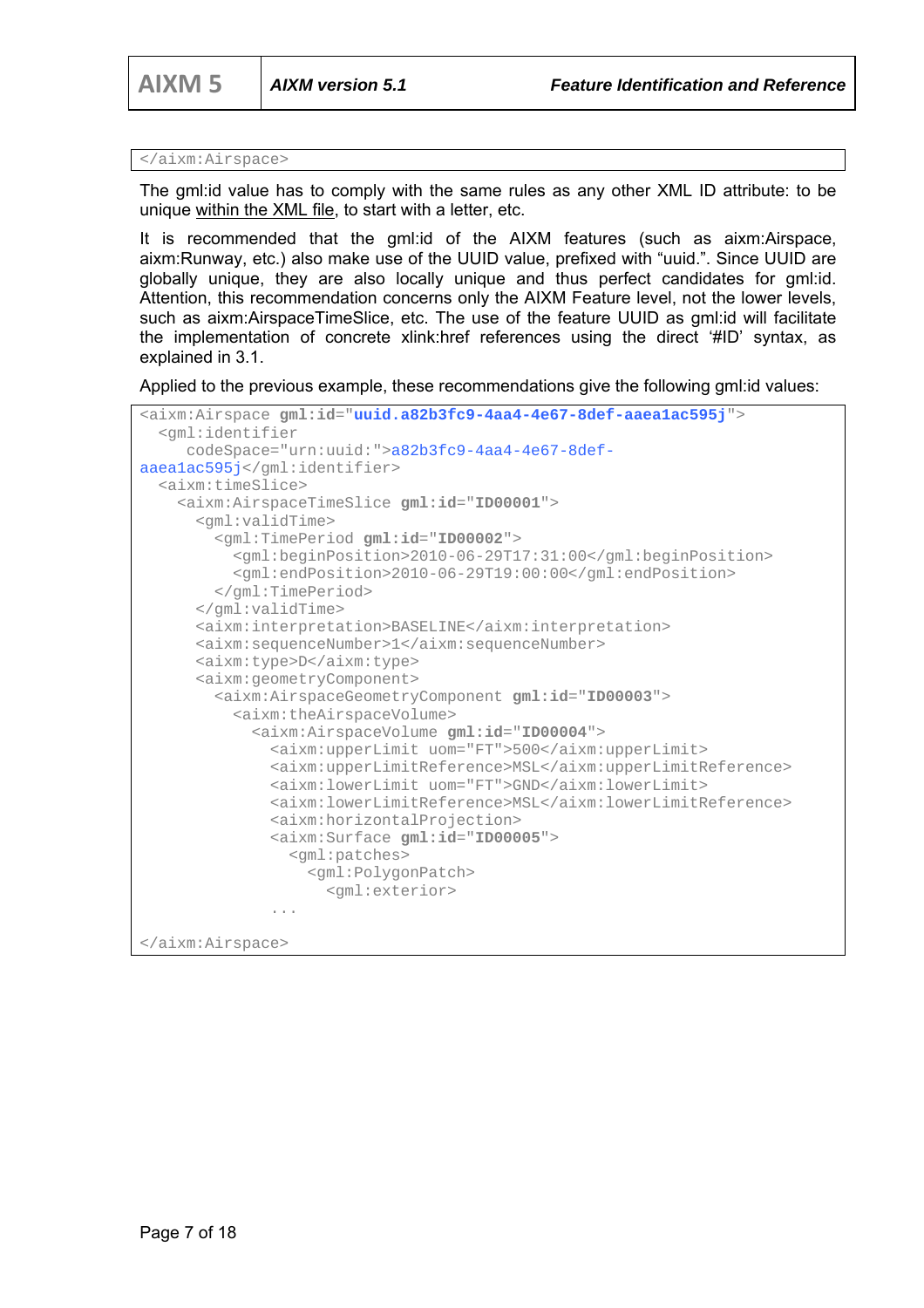```
</aixm:Airspace>
```
The gml:id value has to comply with the same rules as any other XML ID attribute: to be unique within the XML file, to start with a letter, etc.

It is recommended that the gml:id of the AIXM features (such as aixm:Airspace, aixm:Runway, etc.) also make use of the UUID value, prefixed with "uuid.". Since UUID are globally unique, they are also locally unique and thus perfect candidates for gml:id. Attention, this recommendation concerns only the AIXM Feature level, not the lower levels, such as aixm:AirspaceTimeSlice, etc. The use of the feature UUID as gml:id will facilitate the implementation of concrete xlink:href references using the direct '#ID' syntax, as explained in 3.1.

Applied to the previous example, these recommendations give the following gml:id values:

```
<aixm:Airspace gml:id="uuid.a82b3fc9-4aa4-4e67-8def-aaea1ac595j"> 
   <gml:identifier 
      codeSpace="urn:uuid:">a82b3fc9-4aa4-4e67-8def-
aaea1ac595j</gml:identifier> 
   <aixm:timeSlice> 
     <aixm:AirspaceTimeSlice gml:id="ID00001"> 
       <gml:validTime> 
         <gml:TimePeriod gml:id="ID00002"> 
           <gml:beginPosition>2010-06-29T17:31:00</gml:beginPosition> 
           <gml:endPosition>2010-06-29T19:00:00</gml:endPosition> 
         </gml:TimePeriod> 
       </gml:validTime> 
       <aixm:interpretation>BASELINE</aixm:interpretation> 
       <aixm:sequenceNumber>1</aixm:sequenceNumber> 
       <aixm:type>D</aixm:type> 
       <aixm:geometryComponent> 
         <aixm:AirspaceGeometryComponent gml:id="ID00003"> 
           <aixm:theAirspaceVolume> 
             <aixm:AirspaceVolume gml:id="ID00004"> 
               <aixm:upperLimit uom="FT">500</aixm:upperLimit> 
               <aixm:upperLimitReference>MSL</aixm:upperLimitReference> 
               <aixm:lowerLimit uom="FT">GND</aixm:lowerLimit> 
               <aixm:lowerLimitReference>MSL</aixm:lowerLimitReference> 
               <aixm:horizontalProjection> 
               <aixm:Surface gml:id="ID00005"> 
                 <gml:patches> 
                   <gml:PolygonPatch> 
                      <gml:exterior> 
       ... 
</aixm:Airspace>
```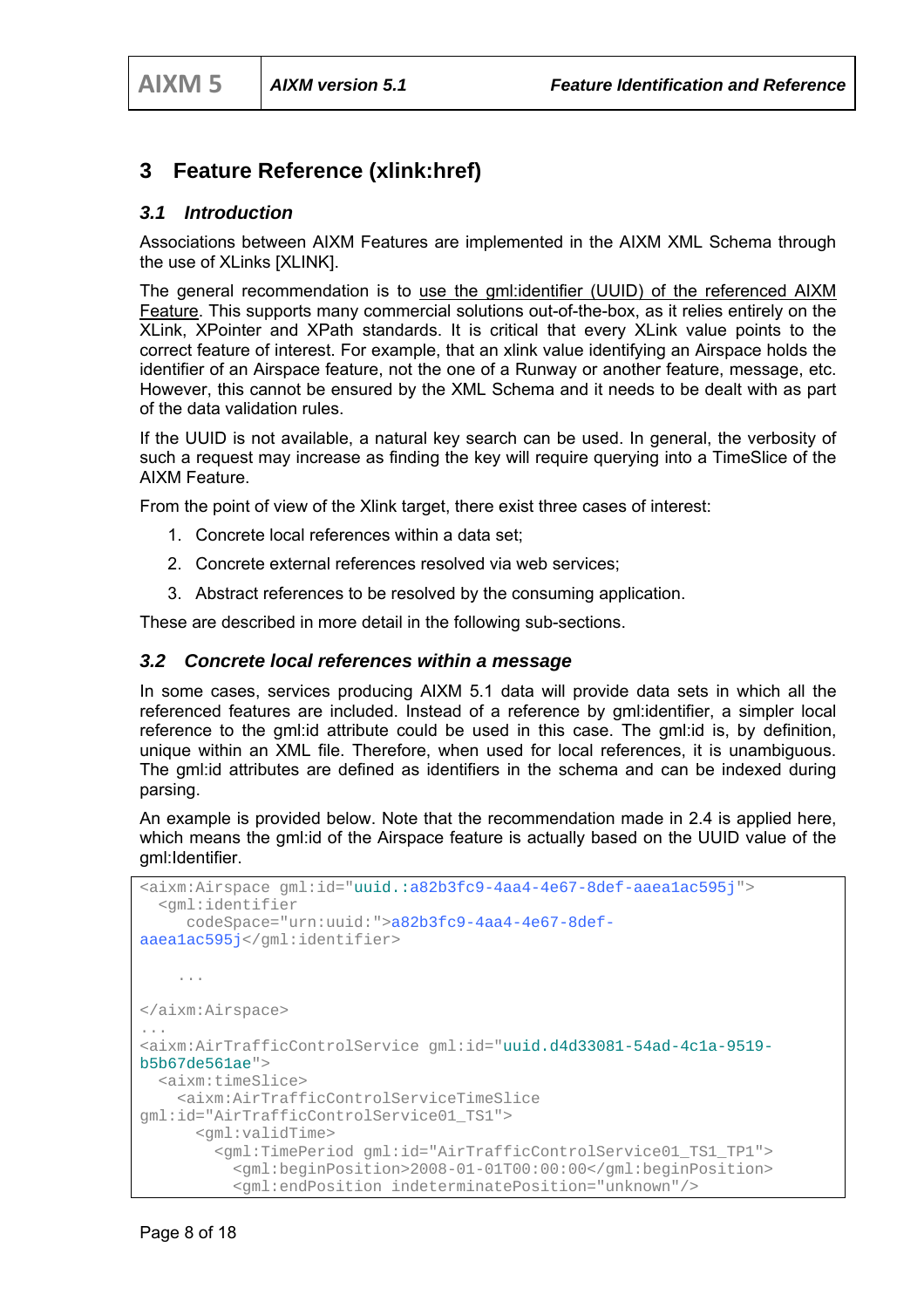### **3 Feature Reference (xlink:href)**

#### *3.1 Introduction*

Associations between AIXM Features are implemented in the AIXM XML Schema through the use of XLinks [XLINK].

The general recommendation is to use the gml:identifier (UUID) of the referenced AIXM Feature. This supports many commercial solutions out-of-the-box, as it relies entirely on the XLink, XPointer and XPath standards. It is critical that every XLink value points to the correct feature of interest. For example, that an xlink value identifying an Airspace holds the identifier of an Airspace feature, not the one of a Runway or another feature, message, etc. However, this cannot be ensured by the XML Schema and it needs to be dealt with as part of the data validation rules.

If the UUID is not available, a natural key search can be used. In general, the verbosity of such a request may increase as finding the key will require querying into a TimeSlice of the AIXM Feature.

From the point of view of the Xlink target, there exist three cases of interest:

- 1. Concrete local references within a data set;
- 2. Concrete external references resolved via web services;
- 3. Abstract references to be resolved by the consuming application.

These are described in more detail in the following sub-sections.

#### *3.2 Concrete local references within a message*

In some cases, services producing AIXM 5.1 data will provide data sets in which all the referenced features are included. Instead of a reference by gml:identifier, a simpler local reference to the gml:id attribute could be used in this case. The gml:id is, by definition, unique within an XML file. Therefore, when used for local references, it is unambiguous. The gml:id attributes are defined as identifiers in the schema and can be indexed during parsing.

An example is provided below. Note that the recommendation made in 2.4 is applied here, which means the gml:id of the Airspace feature is actually based on the UUID value of the gml:Identifier.

```
<aixm:Airspace gml:id="uuid.:a82b3fc9-4aa4-4e67-8def-aaea1ac595j"> 
   <gml:identifier 
      codeSpace="urn:uuid:">a82b3fc9-4aa4-4e67-8def-
aaea1ac595j</gml:identifier> 
     ... 
</aixm:Airspace> 
... 
<aixm:AirTrafficControlService gml:id="uuid.d4d33081-54ad-4c1a-9519-
b5b67de561ae"> 
   <aixm:timeSlice> 
    <aixm:AirTrafficControlServiceTimeSlice 
gml:id="AirTrafficControlService01_TS1"> 
       <gml:validTime> 
         <gml:TimePeriod gml:id="AirTrafficControlService01_TS1_TP1"> 
           <gml:beginPosition>2008-01-01T00:00:00</gml:beginPosition> 
           <gml:endPosition indeterminatePosition="unknown"/>
```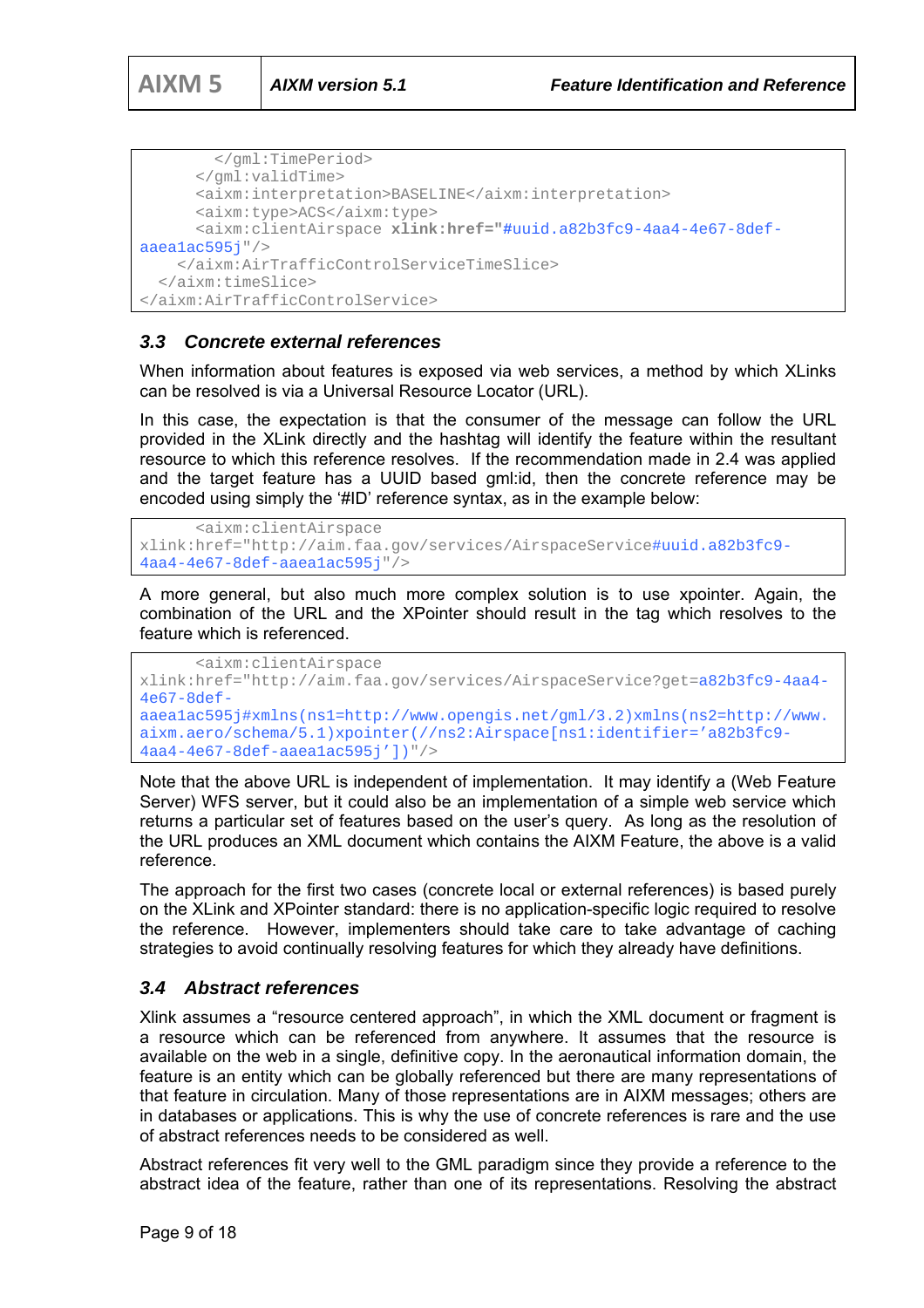```
 </gml:TimePeriod> 
       </gml:validTime> 
       <aixm:interpretation>BASELINE</aixm:interpretation> 
       <aixm:type>ACS</aixm:type> 
       <aixm:clientAirspace xlink:href="#uuid.a82b3fc9-4aa4-4e67-8def-
aaea1ac595j"/> 
    </aixm:AirTrafficControlServiceTimeSlice> 
   </aixm:timeSlice> 
</aixm:AirTrafficControlService>
```
#### *3.3 Concrete external references*

When information about features is exposed via web services, a method by which XLinks can be resolved is via a Universal Resource Locator (URL).

In this case, the expectation is that the consumer of the message can follow the URL provided in the XLink directly and the hashtag will identify the feature within the resultant resource to which this reference resolves. If the recommendation made in 2.4 was applied and the target feature has a UUID based gml:id, then the concrete reference may be encoded using simply the '#ID' reference syntax, as in the example below:

```
 <aixm:clientAirspace 
xlink:href="http://aim.faa.gov/services/AirspaceService#uuid.a82b3fc9-
4aa4-4e67-8def-aaea1ac595j"/>
```
A more general, but also much more complex solution is to use xpointer. Again, the combination of the URL and the XPointer should result in the tag which resolves to the feature which is referenced.

```
 <aixm:clientAirspace 
xlink:href="http://aim.faa.gov/services/AirspaceService?get=a82b3fc9-4aa4-
4e67-8def-
aaea1ac595j#xmlns(ns1=http://www.opengis.net/gml/3.2)xmlns(ns2=http://www.
aixm.aero/schema/5.1)xpointer(//ns2:Airspace[ns1:identifier='a82b3fc9-
4aa4-4e67-8def-aaea1ac595j'])"/>
```
Note that the above URL is independent of implementation. It may identify a (Web Feature Server) WFS server, but it could also be an implementation of a simple web service which returns a particular set of features based on the user's query. As long as the resolution of the URL produces an XML document which contains the AIXM Feature, the above is a valid reference.

The approach for the first two cases (concrete local or external references) is based purely on the XLink and XPointer standard: there is no application-specific logic required to resolve the reference. However, implementers should take care to take advantage of caching strategies to avoid continually resolving features for which they already have definitions.

#### *3.4 Abstract references*

Xlink assumes a "resource centered approach", in which the XML document or fragment is a resource which can be referenced from anywhere. It assumes that the resource is available on the web in a single, definitive copy. In the aeronautical information domain, the feature is an entity which can be globally referenced but there are many representations of that feature in circulation. Many of those representations are in AIXM messages; others are in databases or applications. This is why the use of concrete references is rare and the use of abstract references needs to be considered as well.

Abstract references fit very well to the GML paradigm since they provide a reference to the abstract idea of the feature, rather than one of its representations. Resolving the abstract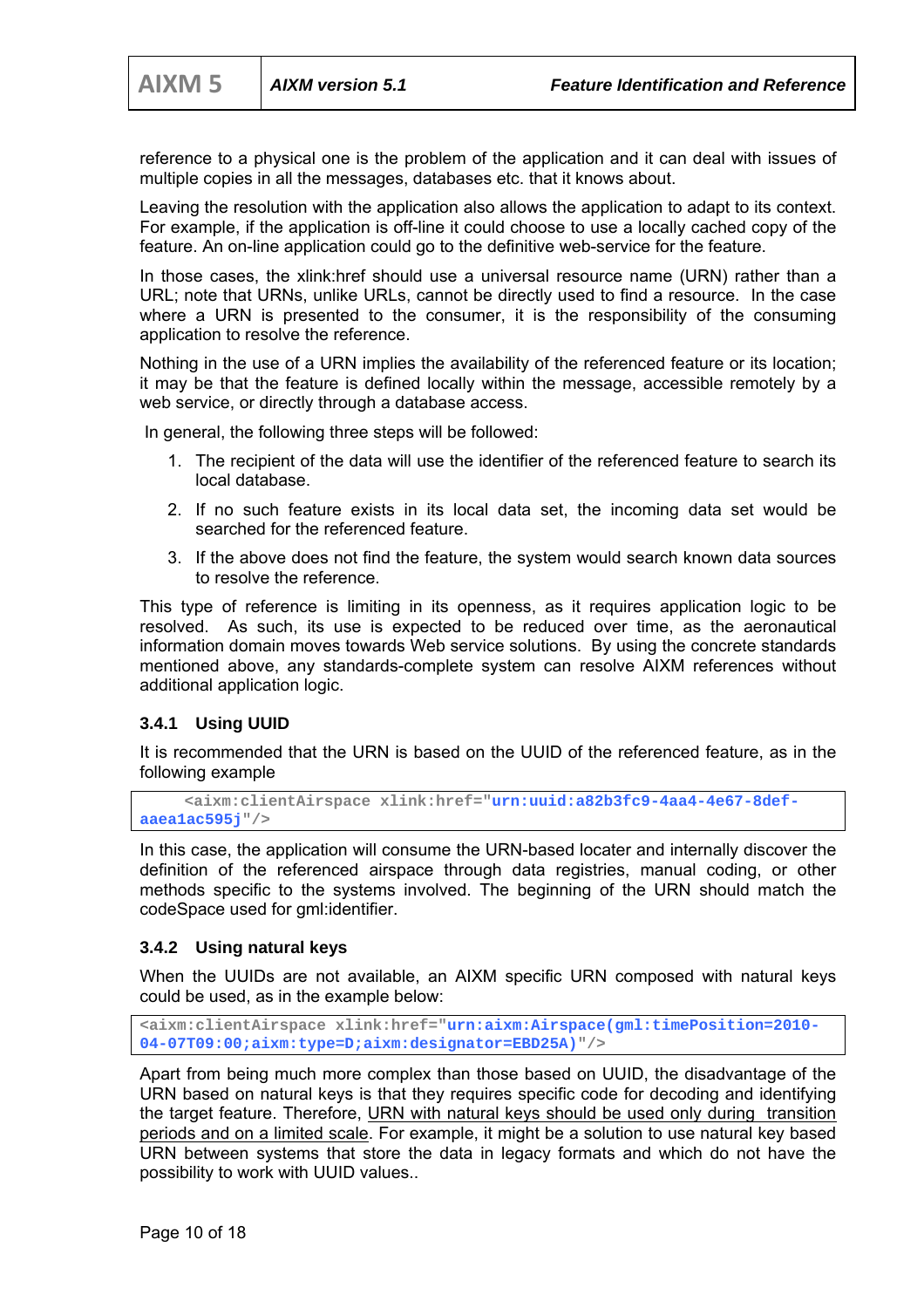reference to a physical one is the problem of the application and it can deal with issues of multiple copies in all the messages, databases etc. that it knows about.

Leaving the resolution with the application also allows the application to adapt to its context. For example, if the application is off-line it could choose to use a locally cached copy of the feature. An on-line application could go to the definitive web-service for the feature.

In those cases, the xlink:href should use a universal resource name (URN) rather than a URL; note that URNs, unlike URLs, cannot be directly used to find a resource. In the case where a URN is presented to the consumer, it is the responsibility of the consuming application to resolve the reference.

Nothing in the use of a URN implies the availability of the referenced feature or its location; it may be that the feature is defined locally within the message, accessible remotely by a web service, or directly through a database access.

In general, the following three steps will be followed:

- 1. The recipient of the data will use the identifier of the referenced feature to search its local database.
- 2. If no such feature exists in its local data set, the incoming data set would be searched for the referenced feature.
- 3. If the above does not find the feature, the system would search known data sources to resolve the reference.

This type of reference is limiting in its openness, as it requires application logic to be resolved. As such, its use is expected to be reduced over time, as the aeronautical information domain moves towards Web service solutions. By using the concrete standards mentioned above, any standards-complete system can resolve AIXM references without additional application logic.

#### **3.4.1 Using UUID**

It is recommended that the URN is based on the UUID of the referenced feature, as in the following example

```
 <aixm:clientAirspace xlink:href="urn:uuid:a82b3fc9-4aa4-4e67-8def-
aaea1ac595j"/>
```
In this case, the application will consume the URN-based locater and internally discover the definition of the referenced airspace through data registries, manual coding, or other methods specific to the systems involved. The beginning of the URN should match the codeSpace used for gml:identifier.

#### **3.4.2 Using natural keys**

When the UUIDs are not available, an AIXM specific URN composed with natural keys could be used, as in the example below:

**<aixm:clientAirspace xlink:href="urn:aixm:Airspace(gml:timePosition=2010- 04-07T09:00;aixm:type=D;aixm:designator=EBD25A)"/>** 

Apart from being much more complex than those based on UUID, the disadvantage of the URN based on natural keys is that they requires specific code for decoding and identifying the target feature. Therefore, URN with natural keys should be used only during transition periods and on a limited scale. For example, it might be a solution to use natural key based URN between systems that store the data in legacy formats and which do not have the possibility to work with UUID values..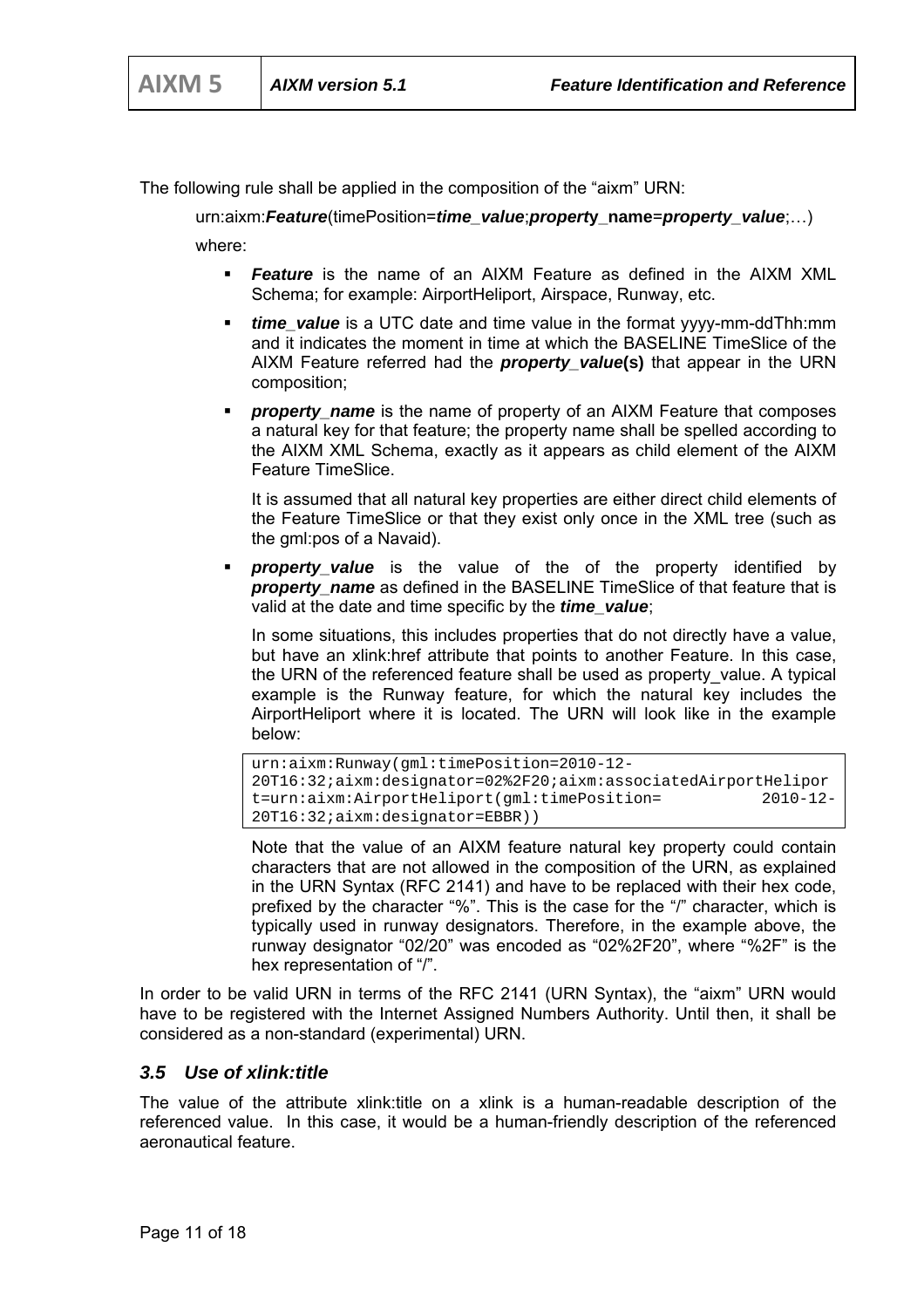The following rule shall be applied in the composition of the "aixm" URN:

urn:aixm:*Feature*(timePosition=*time\_value*;*propert***y\_name**=*property\_value*;…)

where:

- *Feature* is the name of an AIXM Feature as defined in the AIXM XML Schema; for example: AirportHeliport, Airspace, Runway, etc.
- *time\_value* is a UTC date and time value in the format yyyy-mm-ddThh:mm and it indicates the moment in time at which the BASELINE TimeSlice of the AIXM Feature referred had the *property\_value***(s)** that appear in the URN composition;
- *property\_name* is the name of property of an AIXM Feature that composes a natural key for that feature; the property name shall be spelled according to the AIXM XML Schema, exactly as it appears as child element of the AIXM Feature TimeSlice.

It is assumed that all natural key properties are either direct child elements of the Feature TimeSlice or that they exist only once in the XML tree (such as the gml:pos of a Navaid).

 *property\_value* is the value of the of the property identified by **property** name as defined in the BASELINE TimeSlice of that feature that is valid at the date and time specific by the *time\_value*;

In some situations, this includes properties that do not directly have a value, but have an xlink:href attribute that points to another Feature. In this case, the URN of the referenced feature shall be used as property\_value. A typical example is the Runway feature, for which the natural key includes the AirportHeliport where it is located. The URN will look like in the example below:

```
urn:aixm:Runway(gml:timePosition=2010-12-
20T16:32;aixm:designator=02%2F20;aixm:associatedAirportHelipor
t=urn:aixm:AirportHeliport(gml:timePosition= 2010-12-
20T16:32;aixm:designator=EBBR))
```
Note that the value of an AIXM feature natural key property could contain characters that are not allowed in the composition of the URN, as explained in the URN Syntax (RFC 2141) and have to be replaced with their hex code, prefixed by the character "%". This is the case for the "/" character, which is typically used in runway designators. Therefore, in the example above, the runway designator "02/20" was encoded as "02%2F20", where "%2F" is the hex representation of "/".

In order to be valid URN in terms of the RFC 2141 (URN Syntax), the "aixm" URN would have to be registered with the Internet Assigned Numbers Authority. Until then, it shall be considered as a non-standard (experimental) URN.

#### *3.5 Use of xlink:title*

The value of the attribute xlink:title on a xlink is a human-readable description of the referenced value. In this case, it would be a human-friendly description of the referenced aeronautical feature.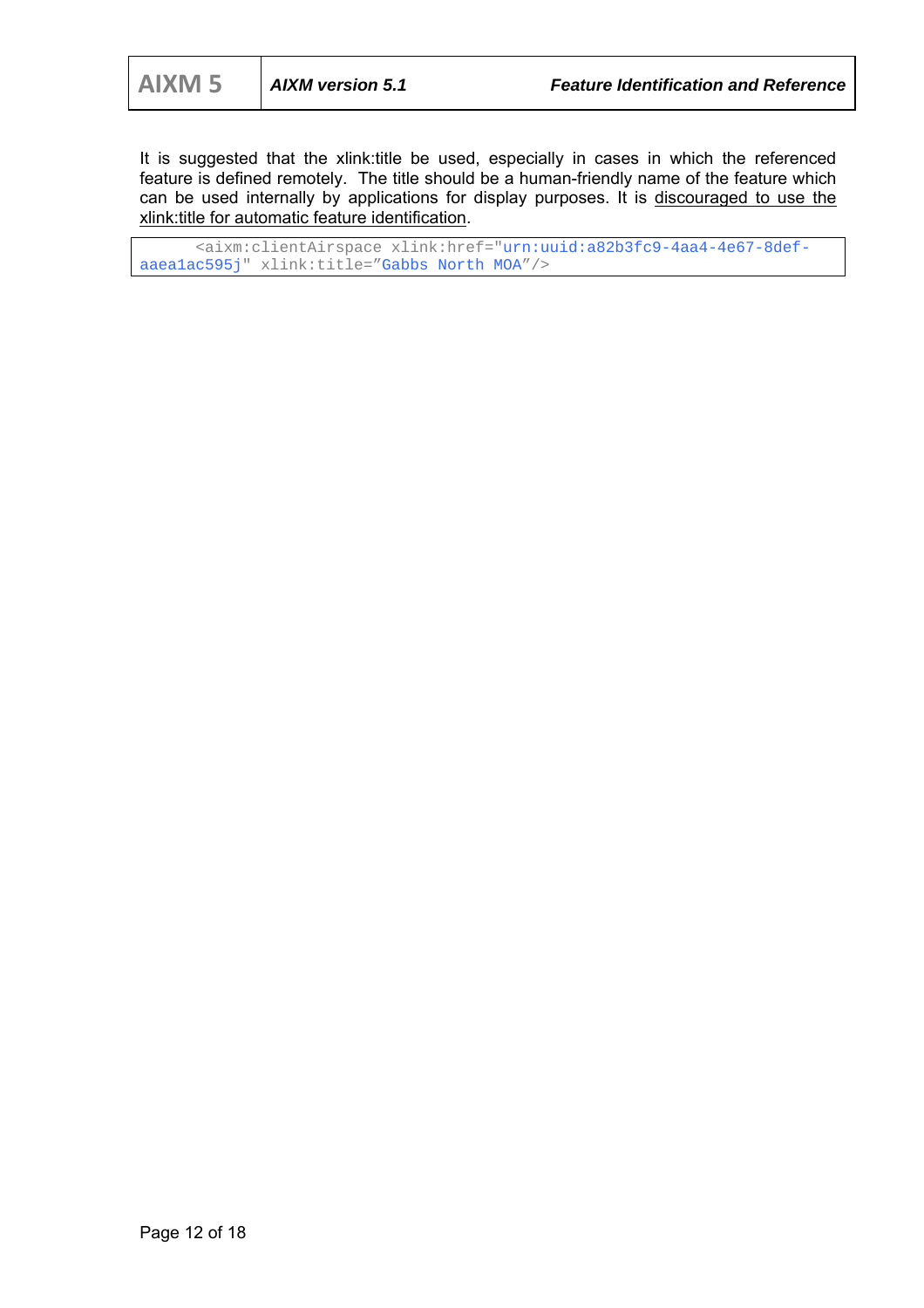It is suggested that the xlink: title be used, especially in cases in which the referenced feature is defined remotely. The title should be a human-friendly name of the feature which can be used internally by applications for display purposes. It is discouraged to use the xlink:title for automatic feature identification.

 <aixm:clientAirspace xlink:href="urn:uuid:a82b3fc9-4aa4-4e67-8defaaea1ac595j" xlink:title="Gabbs North MOA"/>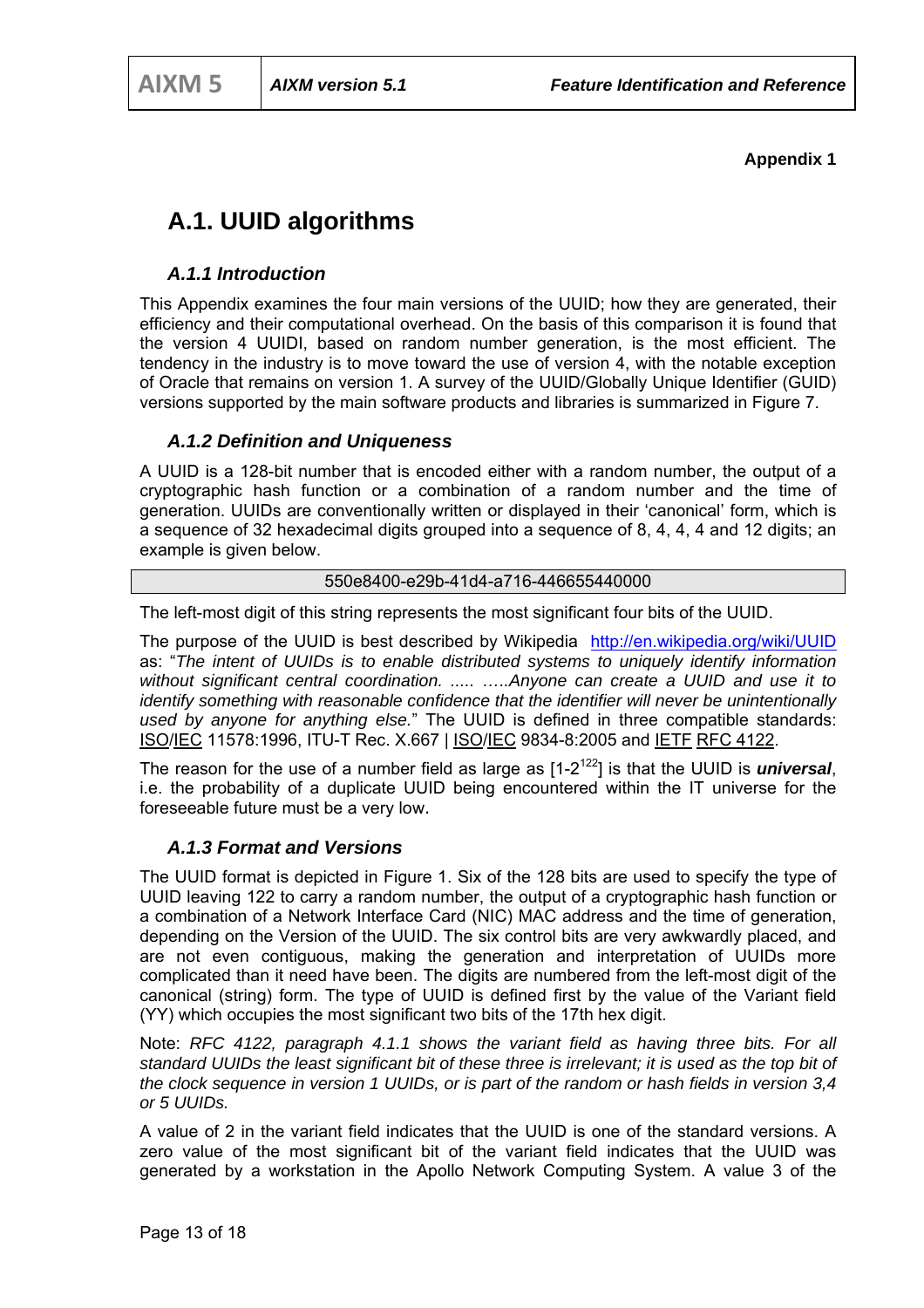#### **Appendix 1**

## **A.1. UUID algorithms**

#### *A.1.1 Introduction*

This Appendix examines the four main versions of the UUID; how they are generated, their efficiency and their computational overhead. On the basis of this comparison it is found that the version 4 UUIDI, based on random number generation, is the most efficient. The tendency in the industry is to move toward the use of version 4, with the notable exception of Oracle that remains on version 1. A survey of the UUID/Globally Unique Identifier (GUID) versions supported by the main software products and libraries is summarized in Figure 7.

#### *A.1.2 Definition and Uniqueness*

A UUID is a 128-bit number that is encoded either with a random number, the output of a cryptographic hash function or a combination of a random number and the time of generation. UUIDs are conventionally written or displayed in their 'canonical' form, which is a sequence of 32 hexadecimal digits grouped into a sequence of 8, 4, 4, 4 and 12 digits; an example is given below.

#### 550e8400-e29b-41d4-a716-446655440000

The left-most digit of this string represents the most significant four bits of the UUID.

The purpose of the UUID is best described by Wikipedia http://en.wikipedia.org/wiki/UUID as: "*The intent of UUIDs is to enable distributed systems to uniquely identify information without significant central coordination. ..... …..Anyone can create a UUID and use it to identify something with reasonable confidence that the identifier will never be unintentionally used by anyone for anything else.*" The UUID is defined in three compatible standards: ISO/IEC 11578:1996, ITU-T Rec. X.667 | ISO/IEC 9834-8:2005 and IETF RFC 4122.

The reason for the use of a number field as large as  $[1-2^{122}]$  is that the UUID is *universal*, i.e. the probability of a duplicate UUID being encountered within the IT universe for the foreseeable future must be a very low.

#### *A.1.3 Format and Versions*

The UUID format is depicted in Figure 1. Six of the 128 bits are used to specify the type of UUID leaving 122 to carry a random number, the output of a cryptographic hash function or a combination of a Network Interface Card (NIC) MAC address and the time of generation, depending on the Version of the UUID. The six control bits are very awkwardly placed, and are not even contiguous, making the generation and interpretation of UUIDs more complicated than it need have been. The digits are numbered from the left-most digit of the canonical (string) form. The type of UUID is defined first by the value of the Variant field (YY) which occupies the most significant two bits of the 17th hex digit.

Note: *RFC 4122, paragraph 4.1.1 shows the variant field as having three bits. For all standard UUIDs the least significant bit of these three is irrelevant; it is used as the top bit of the clock sequence in version 1 UUIDs, or is part of the random or hash fields in version 3,4 or 5 UUIDs.*

A value of 2 in the variant field indicates that the UUID is one of the standard versions. A zero value of the most significant bit of the variant field indicates that the UUID was generated by a workstation in the Apollo Network Computing System. A value 3 of the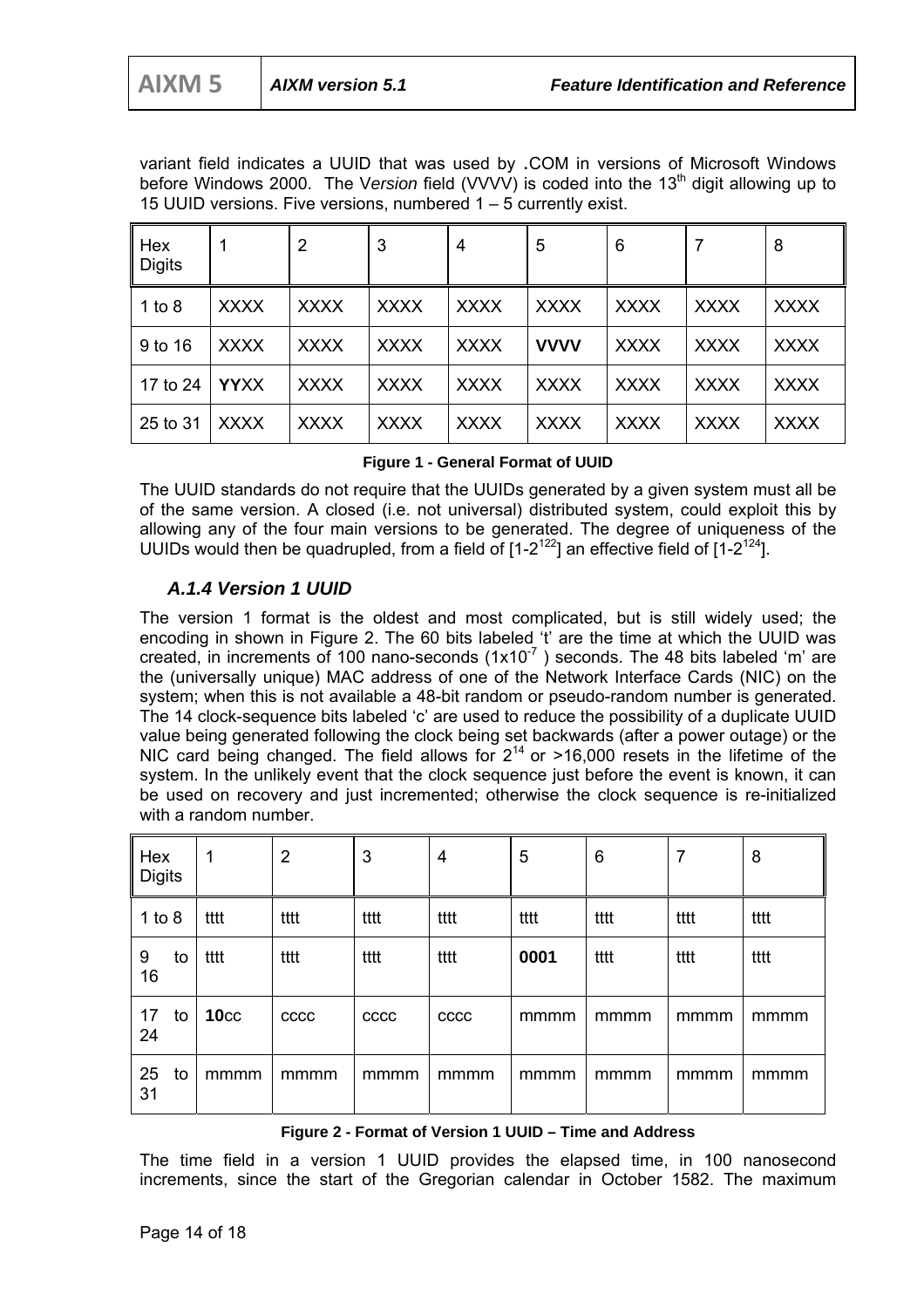variant field indicates a UUID that was used by .COM in versions of Microsoft Windows before Windows 2000. The Version field (VVVV) is coded into the 13<sup>th</sup> digit allowing up to 15 UUID versions. Five versions, numbered 1 – 5 currently exist.

| Hex<br><b>Digits</b> |             | 2           | 3           | 4           | 5           | 6           | 7           | 8           |
|----------------------|-------------|-------------|-------------|-------------|-------------|-------------|-------------|-------------|
| 1 to $8$             | <b>XXXX</b> | <b>XXXX</b> | <b>XXXX</b> | <b>XXXX</b> | <b>XXXX</b> | <b>XXXX</b> | <b>XXXX</b> | <b>XXXX</b> |
| 9 to 16              | <b>XXXX</b> | <b>XXXX</b> | <b>XXXX</b> | <b>XXXX</b> | <b>VVVV</b> | <b>XXXX</b> | <b>XXXX</b> | <b>XXXX</b> |
| 17 to 24             | <b>YYXX</b> | <b>XXXX</b> | <b>XXXX</b> | <b>XXXX</b> | <b>XXXX</b> | <b>XXXX</b> | <b>XXXX</b> | <b>XXXX</b> |
| 25 to 31             | <b>XXXX</b> | <b>XXXX</b> | <b>XXXX</b> | <b>XXXX</b> | <b>XXXX</b> | <b>XXXX</b> | <b>XXXX</b> | <b>XXXX</b> |

#### **Figure 1 - General Format of UUID**

The UUID standards do not require that the UUIDs generated by a given system must all be of the same version. A closed (i.e. not universal) distributed system, could exploit this by allowing any of the four main versions to be generated. The degree of uniqueness of the UUIDs would then be quadrupled, from a field of  $[1-2^{122}]$  an effective field of  $[1-2^{124}]$ .

#### *A.1.4 Version 1 UUID*

The version 1 format is the oldest and most complicated, but is still widely used; the encoding in shown in Figure 2. The 60 bits labeled 't' are the time at which the UUID was created, in increments of 100 nano-seconds  $(1x10<sup>-7</sup>)$  seconds. The 48 bits labeled 'm' are the (universally unique) MAC address of one of the Network Interface Cards (NIC) on the system; when this is not available a 48-bit random or pseudo-random number is generated. The 14 clock-sequence bits labeled 'c' are used to reduce the possibility of a duplicate UUID value being generated following the clock being set backwards (after a power outage) or the NIC card being changed. The field allows for  $2^{14}$  or >16,000 resets in the lifetime of the system. In the unlikely event that the clock sequence just before the event is known, it can be used on recovery and just incremented; otherwise the clock sequence is re-initialized with a random number.

| Hex<br><b>Digits</b> |    | 1                | 2           | 3    | $\overline{4}$ | 5    | 6    | 7    | 8    |
|----------------------|----|------------------|-------------|------|----------------|------|------|------|------|
| 1 to $8$             |    | tttt             | tttt        | tttt | tttt           | tttt | tttt | tttt | tttt |
| 9<br>16              | to | tttt             | tttt        | tttt | tttt           | 0001 | tttt | tttt | tttt |
| 17<br>24             | to | 10 <sub>cc</sub> | <b>CCCC</b> | cccc | <b>CCCC</b>    | mmmm | mmmm | mmmm | mmmm |
| 25<br>31             | to | mmmm             | mmmm        | mmmm | mmmm           | mmmm | mmmm | mmmm | mmmm |

#### **Figure 2 - Format of Version 1 UUID – Time and Address**

The time field in a version 1 UUID provides the elapsed time, in 100 nanosecond increments, since the start of the Gregorian calendar in October 1582. The maximum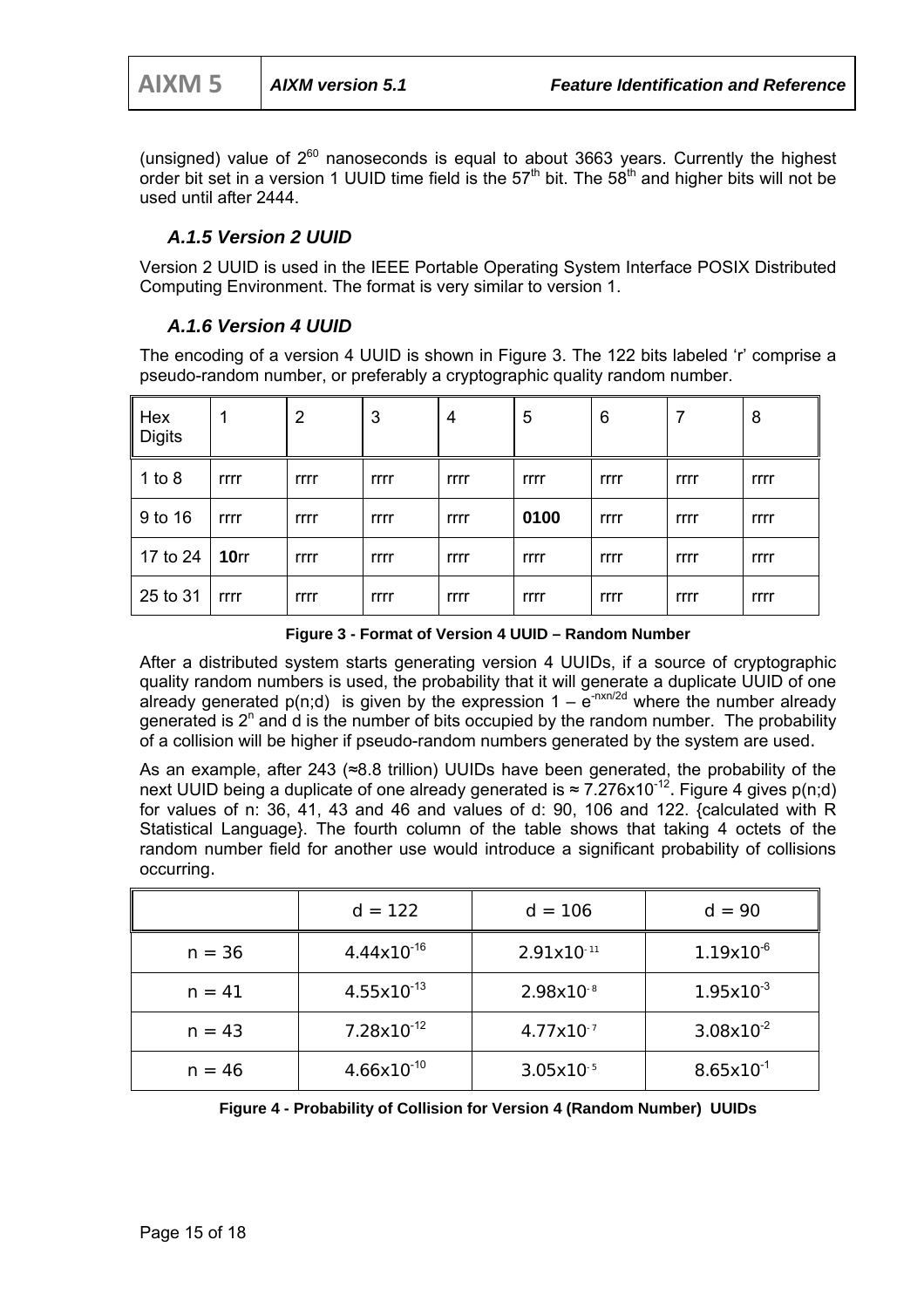(unsigned) value of  $2^{60}$  nanoseconds is equal to about 3663 years. Currently the highest order bit set in a version 1 UUID time field is the  $57<sup>th</sup>$  bit. The  $58<sup>th</sup>$  and higher bits will not be used until after 2444.

#### *A.1.5 Version 2 UUID*

Version 2 UUID is used in the IEEE Portable Operating System Interface POSIX Distributed Computing Environment. The format is very similar to version 1.

#### *A.1.6 Version 4 UUID*

The encoding of a version 4 UUID is shown in Figure 3. The 122 bits labeled 'r' comprise a pseudo-random number, or preferably a cryptographic quality random number.

| Hex<br><b>Digits</b> |                  | $\overline{2}$ | 3    | 4    | 5    | 6    | 7    | 8    |
|----------------------|------------------|----------------|------|------|------|------|------|------|
| 1 to 8               | rrrr             | rrrr           | rrrr | rrrr | rrrr | rrrr | rrrr | rrrr |
| 9 to 16              | rrrr             | rrrr           | rrrr | rrrr | 0100 | rrrr | rrrr | rrrr |
| 17 to 24             | 10 <sub>rr</sub> | rrrr           | rrrr | rrrr | rrrr | rrrr | rrrr | rrrr |
| 25 to 31             | rrrr             | rrrr           | rrrr | rrrr | rrrr | rrrr | rrrr | rrrr |

**Figure 3 - Format of Version 4 UUID – Random Number**

After a distributed system starts generating version 4 UUIDs, if a source of cryptographic quality random numbers is used, the probability that it will generate a duplicate UUID of one already generated  $p(n;d)$  is given by the expression  $1 - e^{-nxn/2d}$  where the number already generated is  $2^n$  and d is the number of bits occupied by the random number. The probability of a collision will be higher if pseudo-random numbers generated by the system are used.

As an example, after 243 (≈8.8 trillion) UUIDs have been generated, the probability of the next UUID being a duplicate of one already generated is  $\approx 7.276 \times 10^{-12}$ . Figure 4 gives p(n;d) for values of n: 36, 41, 43 and 46 and values of d: 90, 106 and 122. {calculated with R Statistical Language}. The fourth column of the table shows that taking 4 octets of the random number field for another use would introduce a significant probability of collisions occurring.

|          | $d = 122$              | $d = 106$             | $d = 90$       |
|----------|------------------------|-----------------------|----------------|
| $n = 36$ | $4.44x10^{-16}$        | $2.91x10^{-11}$       | $1.19x10^{-6}$ |
| $n = 41$ | $4.55x10^{-13}$        | $2.98x10^{-8}$        | $1.95x10^{-3}$ |
| $n = 43$ | $7.28 \times 10^{-12}$ | $4.77 \times 10^{-7}$ | $3.08x10^{-2}$ |
| $n = 46$ | $4.66x10^{-10}$        | $3.05x10^{-5}$        | $8.65x10^{-1}$ |

**Figure 4 - Probability of Collision for Version 4 (Random Number) UUIDs**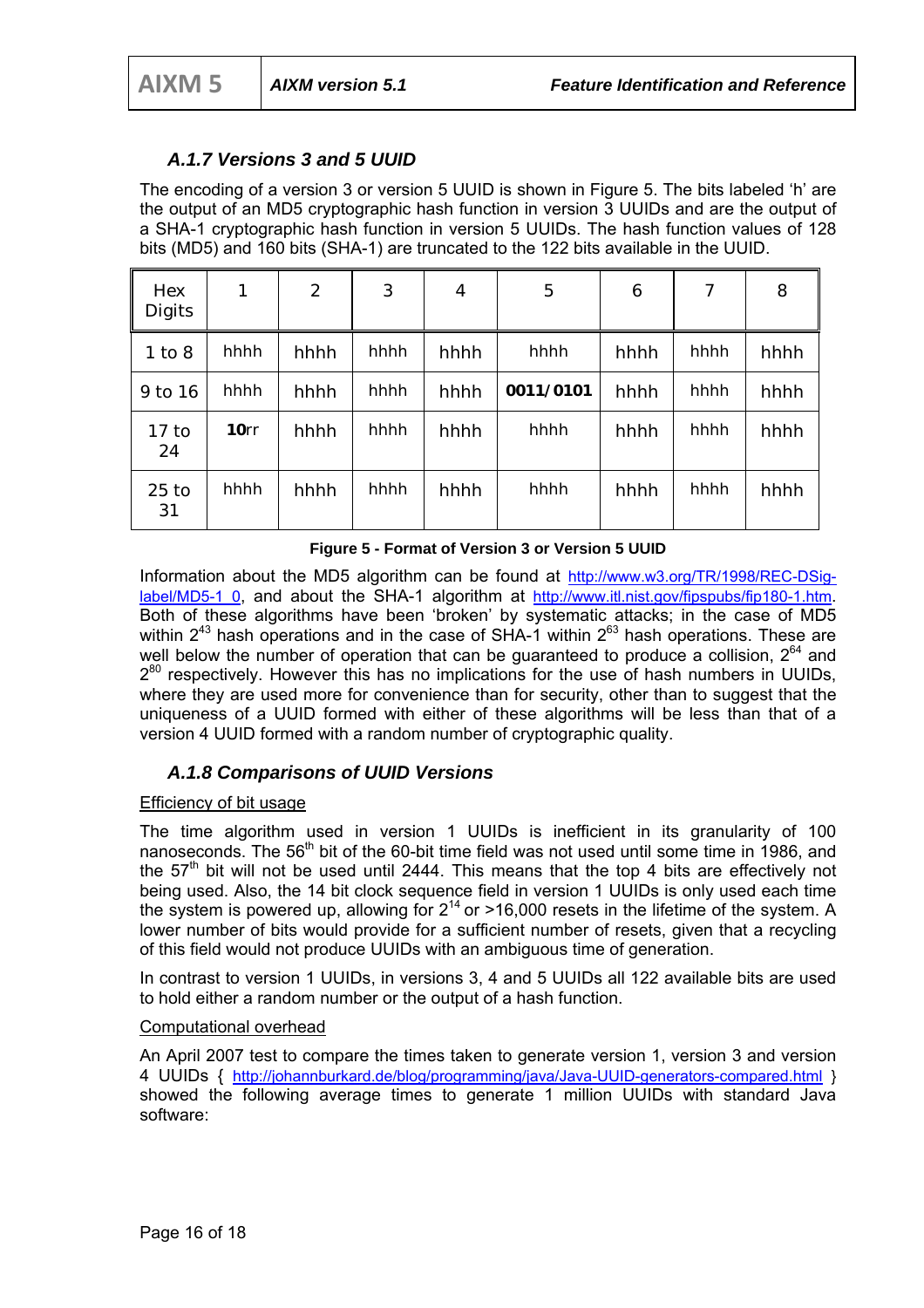#### *A.1.7 Versions 3 and 5 UUID*

The encoding of a version 3 or version 5 UUID is shown in Figure 5. The bits labeled 'h' are the output of an MD5 cryptographic hash function in version 3 UUIDs and are the output of a SHA-1 cryptographic hash function in version 5 UUIDs. The hash function values of 128 bits (MD5) and 160 bits (SHA-1) are truncated to the 122 bits available in the UUID.

| Hex<br><b>Digits</b> | 1    | 2    | 3    | 4    | $\mathbf 5$ | 6    | 7    | 8    |
|----------------------|------|------|------|------|-------------|------|------|------|
| $1$ to $8$           | hhhh | hhhh | hhhh | hhhh | hhhh        | hhhh | hhhh | hhhh |
| 9 to 16              | hhhh | hhhh | hhhh | hhhh | 0011/0101   | hhhh | hhhh | hhhh |
| $17$ to<br>24        | 10rr | hhhh | hhhh | hhhh | hhhh        | hhhh | hhhh | hhhh |
| $25$ to<br>31        | hhhh | hhhh | hhhh | hhhh | hhhh        | hhhh | hhhh | hhhh |

**Figure 5 - Format of Version 3 or Version 5 UUID**

Information about the MD5 algorithm can be found at http://www.w3.org/TR/1998/REC-DSiglabel/MD5-1\_0, and about the SHA-1 algorithm at http://www.itl.nist.gov/fipspubs/fip180-1.htm. Both of these algorithms have been 'broken' by systematic attacks; in the case of MD5 within  $2^{43}$  hash operations and in the case of SHA-1 within  $2^{63}$  hash operations. These are well below the number of operation that can be quaranteed to produce a collision,  $2^{64}$  and  $2^{80}$  respectively. However this has no implications for the use of hash numbers in UUIDs. where they are used more for convenience than for security, other than to suggest that the uniqueness of a UUID formed with either of these algorithms will be less than that of a version 4 UUID formed with a random number of cryptographic quality.

#### *A.1.8 Comparisons of UUID Versions*

#### Efficiency of bit usage

The time algorithm used in version 1 UUIDs is inefficient in its granularity of 100 nanoseconds. The 56<sup>th</sup> bit of the 60-bit time field was not used until some time in 1986, and the  $57<sup>th</sup>$  bit will not be used until 2444. This means that the top 4 bits are effectively not being used. Also, the 14 bit clock sequence field in version 1 UUIDs is only used each time the system is powered up, allowing for  $2^{14}$  or >16,000 resets in the lifetime of the system. A lower number of bits would provide for a sufficient number of resets, given that a recycling of this field would not produce UUIDs with an ambiguous time of generation.

In contrast to version 1 UUIDs, in versions 3, 4 and 5 UUIDs all 122 available bits are used to hold either a random number or the output of a hash function.

#### Computational overhead

An April 2007 test to compare the times taken to generate version 1, version 3 and version 4 UUIDs { http://johannburkard.de/blog/programming/java/Java-UUID-generators-compared.html } showed the following average times to generate 1 million UUIDs with standard Java software: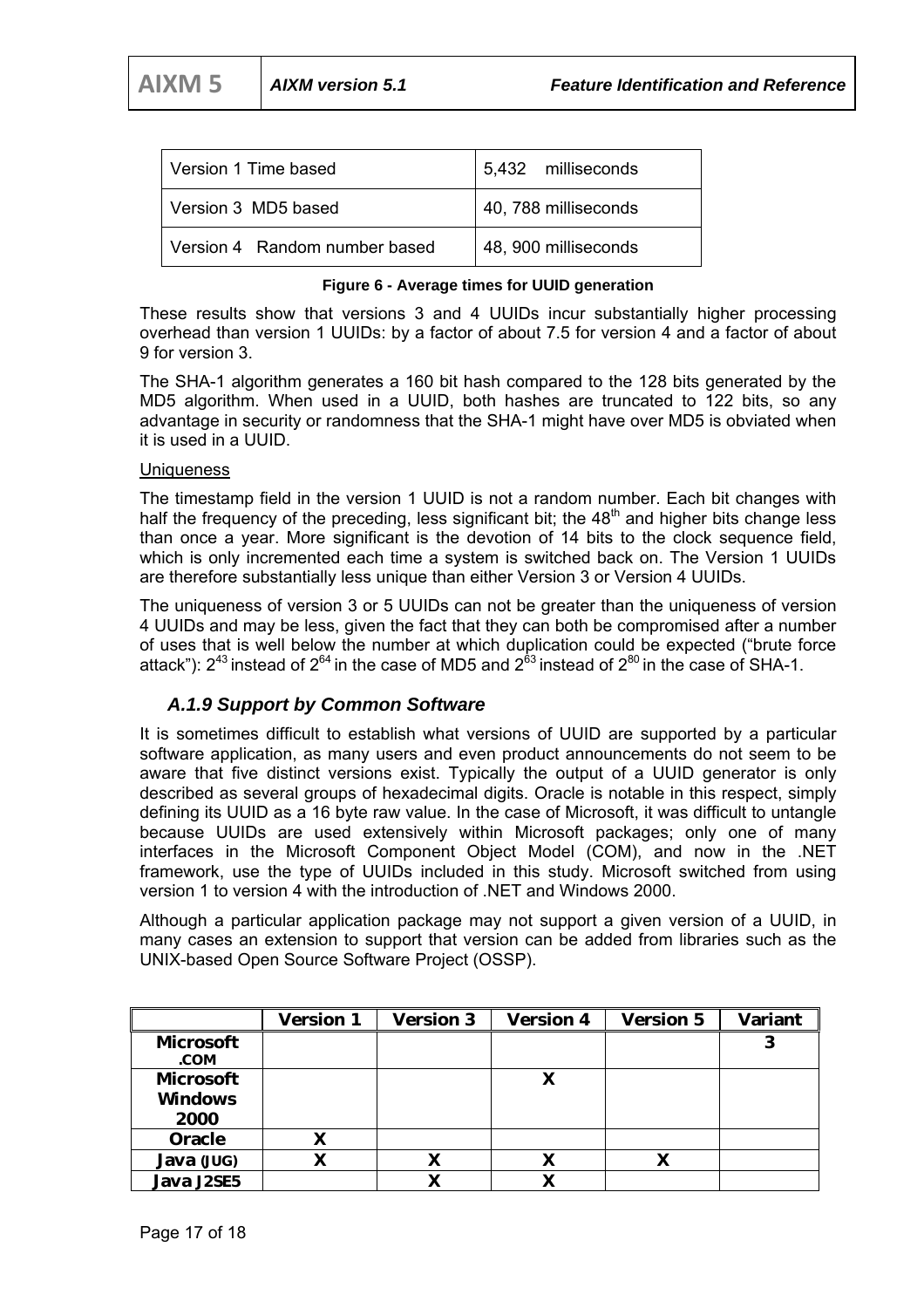| Version 1 Time based          | 5,432 milliseconds   |
|-------------------------------|----------------------|
| Version 3 MD5 based           | 40, 788 milliseconds |
| Version 4 Random number based | 48, 900 milliseconds |

#### **Figure 6 - Average times for UUID generation**

These results show that versions 3 and 4 UUIDs incur substantially higher processing overhead than version 1 UUIDs: by a factor of about 7.5 for version 4 and a factor of about 9 for version 3.

The SHA-1 algorithm generates a 160 bit hash compared to the 128 bits generated by the MD5 algorithm. When used in a UUID, both hashes are truncated to 122 bits, so any advantage in security or randomness that the SHA-1 might have over MD5 is obviated when it is used in a UUID.

#### **Uniqueness**

The timestamp field in the version 1 UUID is not a random number. Each bit changes with half the frequency of the preceding, less significant bit; the  $48<sup>th</sup>$  and higher bits change less than once a year. More significant is the devotion of 14 bits to the clock sequence field, which is only incremented each time a system is switched back on. The Version 1 UUIDs are therefore substantially less unique than either Version 3 or Version 4 UUIDs.

The uniqueness of version 3 or 5 UUIDs can not be greater than the uniqueness of version 4 UUIDs and may be less, given the fact that they can both be compromised after a number of uses that is well below the number at which duplication could be expected ("brute force attack"):  $2^{43}$  instead of  $2^{64}$  in the case of MD5 and  $2^{63}$  instead of  $2^{80}$  in the case of SHA-1.

#### *A.1.9 Support by Common Software*

It is sometimes difficult to establish what versions of UUID are supported by a particular software application, as many users and even product announcements do not seem to be aware that five distinct versions exist. Typically the output of a UUID generator is only described as several groups of hexadecimal digits. Oracle is notable in this respect, simply defining its UUID as a 16 byte raw value. In the case of Microsoft, it was difficult to untangle because UUIDs are used extensively within Microsoft packages; only one of many interfaces in the Microsoft Component Object Model (COM), and now in the .NET framework, use the type of UUIDs included in this study. Microsoft switched from using version 1 to version 4 with the introduction of .NET and Windows 2000.

Although a particular application package may not support a given version of a UUID, in many cases an extension to support that version can be added from libraries such as the UNIX-based Open Source Software Project (OSSP).

|                  | <b>Version 1</b> | <b>Version 3</b> | <b>Version 4</b> | <b>Version 5</b> | Variant |
|------------------|------------------|------------------|------------------|------------------|---------|
| <b>Microsoft</b> |                  |                  |                  |                  | 3       |
| .COM             |                  |                  |                  |                  |         |
| <b>Microsoft</b> |                  |                  | X                |                  |         |
| <b>Windows</b>   |                  |                  |                  |                  |         |
| 2000             |                  |                  |                  |                  |         |
| <b>Oracle</b>    | X                |                  |                  |                  |         |
| Java (JUG)       | X                |                  | л                |                  |         |
| Java J2SE5       |                  |                  |                  |                  |         |